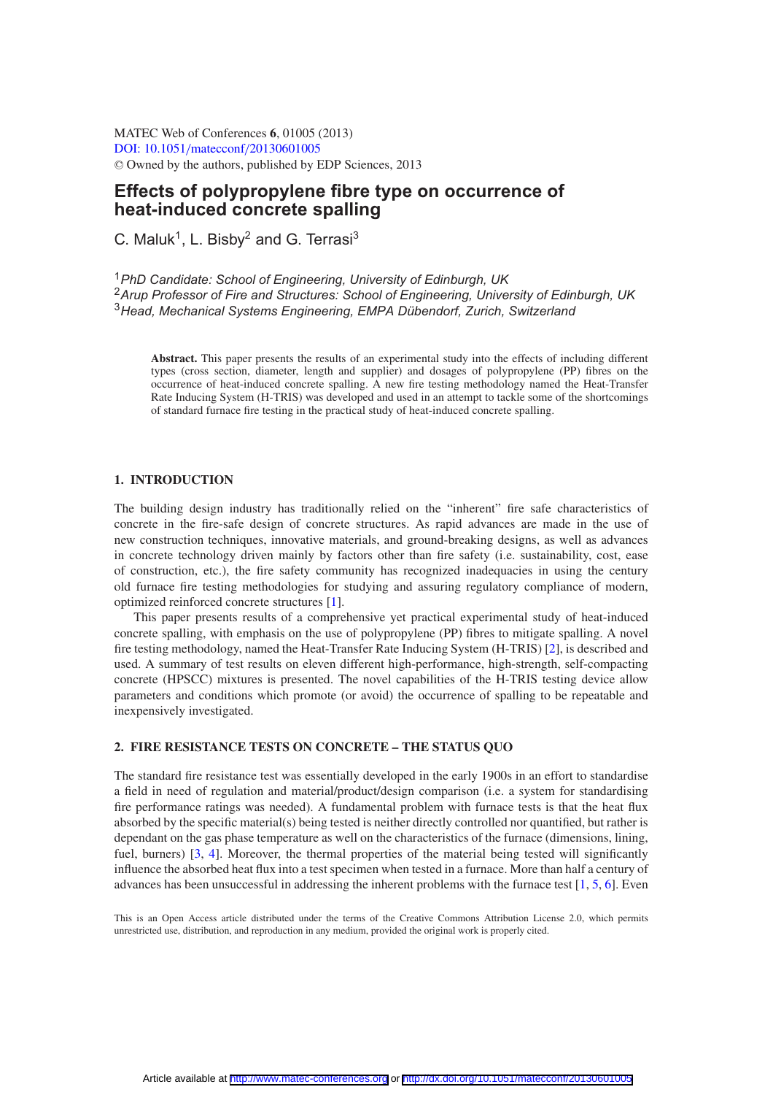MATEC Web of Conferences **6**, 01005 (2013) [DOI: 10.1051](http://dx.doi.org/10.1051/matecconf/20130601005)/matecconf/20130601005 <sup>C</sup> Owned by the authors, published by EDP Sciences, 2013

# **Effects of polypropylene fibre type on occurrence of heat-induced concrete spalling**

C. Maluk<sup>1</sup>, L. Bisby<sup>2</sup> and G. Terrasi<sup>3</sup>

<sup>1</sup>*PhD Candidate: School of Engineering, University of Edinburgh, UK* <sup>2</sup>*Arup Professor of Fire and Structures: School of Engineering, University of Edinburgh, UK* <sup>3</sup>*Head, Mechanical Systems Engineering, EMPA Dübendorf, Zurich, Switzerland*

**Abstract.** This paper presents the results of an experimental study into the effects of including different types (cross section, diameter, length and supplier) and dosages of polypropylene (PP) fibres on the occurrence of heat-induced concrete spalling. A new fire testing methodology named the Heat-Transfer Rate Inducing System (H-TRIS) was developed and used in an attempt to tackle some of the shortcomings of standard furnace fire testing in the practical study of heat-induced concrete spalling.

# **1. INTRODUCTION**

The building design industry has traditionally relied on the "inherent" fire safe characteristics of concrete in the fire-safe design of concrete structures. As rapid advances are made in the use of new construction techniques, innovative materials, and ground-breaking designs, as well as advances in concrete technology driven mainly by factors other than fire safety (i.e. sustainability, cost, ease of construction, etc.), the fire safety community has recognized inadequacies in using the century old furnace fire testing methodologies for studying and assuring regulatory compliance of modern, optimized reinforced concrete structures [\[1](#page-6-0)].

This paper presents results of a comprehensive yet practical experimental study of heat-induced concrete spalling, with emphasis on the use of polypropylene (PP) fibres to mitigate spalling. A novel fire testing methodology, named the Heat-Transfer Rate Inducing System (H-TRIS) [\[2\]](#page-6-1), is described and used. A summary of test results on eleven different high-performance, high-strength, self-compacting concrete (HPSCC) mixtures is presented. The novel capabilities of the H-TRIS testing device allow parameters and conditions which promote (or avoid) the occurrence of spalling to be repeatable and inexpensively investigated.

# **2. FIRE RESISTANCE TESTS ON CONCRETE – THE STATUS QUO**

The standard fire resistance test was essentially developed in the early 1900s in an effort to standardise a field in need of regulation and material/product/design comparison (i.e. a system for standardising fire performance ratings was needed). A fundamental problem with furnace tests is that the heat flux absorbed by the specific material(s) being tested is neither directly controlled nor quantified, but rather is dependant on the gas phase temperature as well on the characteristics of the furnace (dimensions, lining, fuel, burners) [\[3,](#page-7-0) [4\]](#page-7-1). Moreover, the thermal properties of the material being tested will significantly influence the absorbed heat flux into a test specimen when tested in a furnace. More than half a century of advances has been unsuccessful in addressing the inherent problems with the furnace test [\[1](#page-6-0), [5,](#page-7-2) [6\]](#page-7-3). Even

This is an Open Access article distributed under the terms of the Creative Commons Attribution License 2.0, which permits unrestricted use, distribution, and reproduction in any medium, provided the original work is properly cited.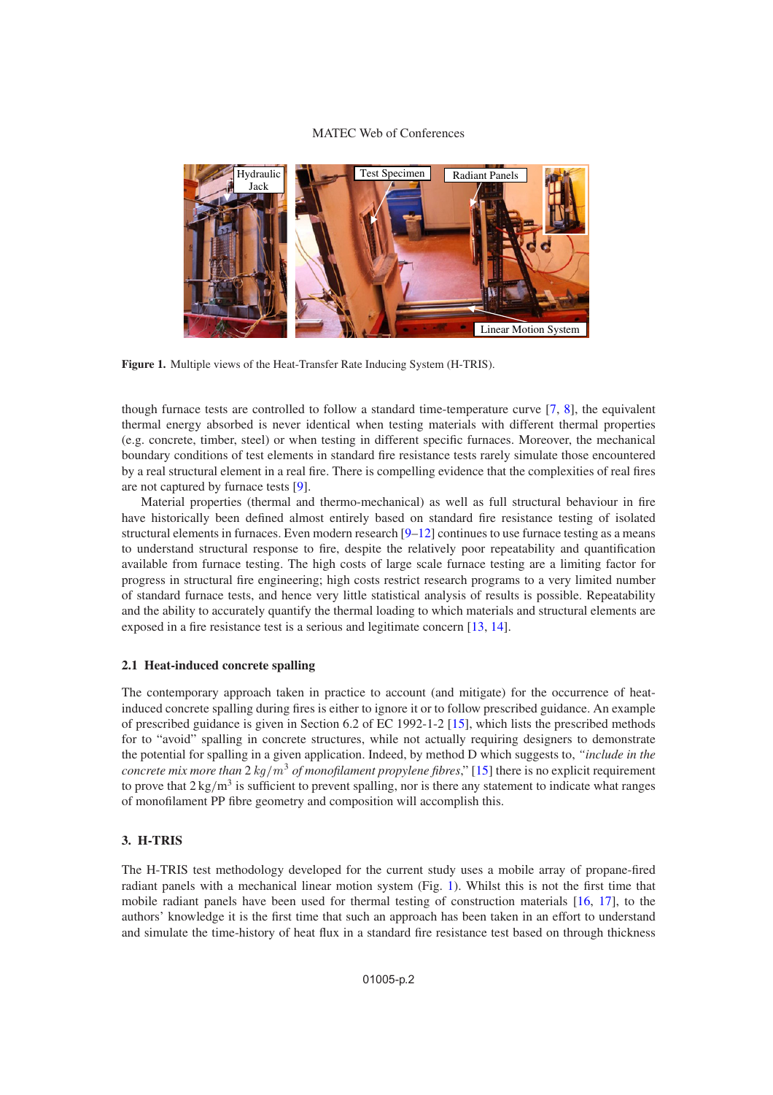# MATEC Web of Conferences

<span id="page-1-0"></span>

**Figure 1.** Multiple views of the Heat-Transfer Rate Inducing System (H-TRIS).

though furnace tests are controlled to follow a standard time-temperature curve [\[7](#page-7-4), [8](#page-7-5)], the equivalent thermal energy absorbed is never identical when testing materials with different thermal properties (e.g. concrete, timber, steel) or when testing in different specific furnaces. Moreover, the mechanical boundary conditions of test elements in standard fire resistance tests rarely simulate those encountered by a real structural element in a real fire. There is compelling evidence that the complexities of real fires are not captured by furnace tests [\[9\]](#page-7-6).

Material properties (thermal and thermo-mechanical) as well as full structural behaviour in fire have historically been defined almost entirely based on standard fire resistance testing of isolated structural elements in furnaces. Even modern research  $[9-12]$  $[9-12]$  continues to use furnace testing as a means to understand structural response to fire, despite the relatively poor repeatability and quantification available from furnace testing. The high costs of large scale furnace testing are a limiting factor for progress in structural fire engineering; high costs restrict research programs to a very limited number of standard furnace tests, and hence very little statistical analysis of results is possible. Repeatability and the ability to accurately quantify the thermal loading to which materials and structural elements are exposed in a fire resistance test is a serious and legitimate concern [\[13,](#page-7-8) [14\]](#page-7-9).

# **2.1 Heat-induced concrete spalling**

The contemporary approach taken in practice to account (and mitigate) for the occurrence of heatinduced concrete spalling during fires is either to ignore it or to follow prescribed guidance. An example of prescribed guidance is given in Section 6.2 of EC 1992-1-2 [\[15\]](#page-7-10), which lists the prescribed methods for to "avoid" spalling in concrete structures, while not actually requiring designers to demonstrate the potential for spalling in a given application. Indeed, by method D which suggests to, *"include in the concrete mix more than*  $2 \text{ kg/m}^3$  *of monofilament propylene fibres*," [\[15](#page-7-10)] there is no explicit requirement to prove that  $2 \text{ kg/m}^3$  is sufficient to prevent spalling, nor is there any statement to indicate what ranges of monofilament PP fibre geometry and composition will accomplish this.

# **3. H-TRIS**

The H-TRIS test methodology developed for the current study uses a mobile array of propane-fired radiant panels with a mechanical linear motion system (Fig. [1\)](#page-1-0). Whilst this is not the first time that mobile radiant panels have been used for thermal testing of construction materials [\[16](#page-7-11), [17\]](#page-7-12), to the authors' knowledge it is the first time that such an approach has been taken in an effort to understand and simulate the time-history of heat flux in a standard fire resistance test based on through thickness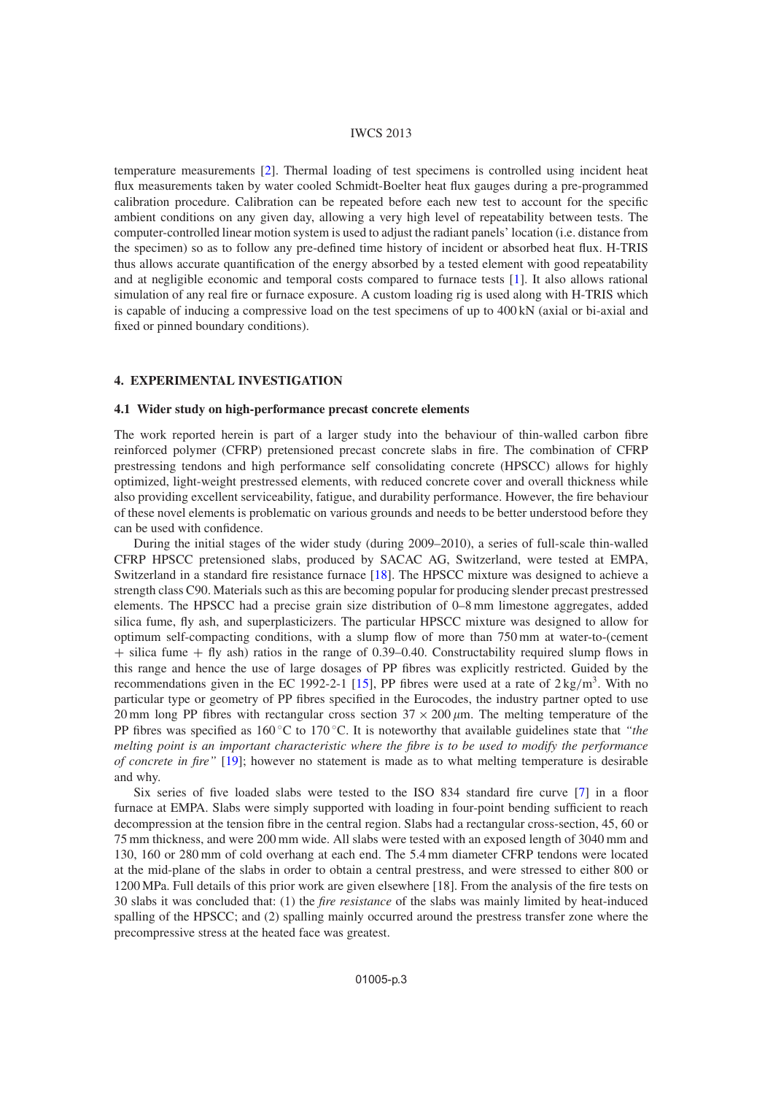#### IWCS 2013

temperature measurements [\[2\]](#page-6-1). Thermal loading of test specimens is controlled using incident heat flux measurements taken by water cooled Schmidt-Boelter heat flux gauges during a pre-programmed calibration procedure. Calibration can be repeated before each new test to account for the specific ambient conditions on any given day, allowing a very high level of repeatability between tests. The computer-controlled linear motion system is used to adjust the radiant panels' location (i.e. distance from the specimen) so as to follow any pre-defined time history of incident or absorbed heat flux. H-TRIS thus allows accurate quantification of the energy absorbed by a tested element with good repeatability and at negligible economic and temporal costs compared to furnace tests [\[1](#page-6-0)]. It also allows rational simulation of any real fire or furnace exposure. A custom loading rig is used along with H-TRIS which is capable of inducing a compressive load on the test specimens of up to 400 kN (axial or bi-axial and fixed or pinned boundary conditions).

# **4. EXPERIMENTAL INVESTIGATION**

# **4.1 Wider study on high-performance precast concrete elements**

The work reported herein is part of a larger study into the behaviour of thin-walled carbon fibre reinforced polymer (CFRP) pretensioned precast concrete slabs in fire. The combination of CFRP prestressing tendons and high performance self consolidating concrete (HPSCC) allows for highly optimized, light-weight prestressed elements, with reduced concrete cover and overall thickness while also providing excellent serviceability, fatigue, and durability performance. However, the fire behaviour of these novel elements is problematic on various grounds and needs to be better understood before they can be used with confidence.

During the initial stages of the wider study (during 2009–2010), a series of full-scale thin-walled CFRP HPSCC pretensioned slabs, produced by SACAC AG, Switzerland, were tested at EMPA, Switzerland in a standard fire resistance furnace [\[18](#page-7-13)]. The HPSCC mixture was designed to achieve a strength class C90. Materials such as this are becoming popular for producing slender precast prestressed elements. The HPSCC had a precise grain size distribution of 0–8 mm limestone aggregates, added silica fume, fly ash, and superplasticizers. The particular HPSCC mixture was designed to allow for optimum self-compacting conditions, with a slump flow of more than 750 mm at water-to-(cement  $+$  silica fume  $+$  fly ash) ratios in the range of 0.39–0.40. Constructability required slump flows in this range and hence the use of large dosages of PP fibres was explicitly restricted. Guided by the recommendations given in the EC 1992-2-1 [\[15\]](#page-7-10), PP fibres were used at a rate of  $2 \text{ kg/m}^3$ . With no particular type or geometry of PP fibres specified in the Eurocodes, the industry partner opted to use 20 mm long PP fibres with rectangular cross section  $37 \times 200 \mu m$ . The melting temperature of the PP fibres was specified as 160 ◦C to 170 ◦C. It is noteworthy that available guidelines state that *"the melting point is an important characteristic where the fibre is to be used to modify the performance of concrete in fire"* [\[19\]](#page-7-14); however no statement is made as to what melting temperature is desirable and why.

Six series of five loaded slabs were tested to the ISO 834 standard fire curve [\[7](#page-7-4)] in a floor furnace at EMPA. Slabs were simply supported with loading in four-point bending sufficient to reach decompression at the tension fibre in the central region. Slabs had a rectangular cross-section, 45, 60 or 75 mm thickness, and were 200 mm wide. All slabs were tested with an exposed length of 3040 mm and 130, 160 or 280 mm of cold overhang at each end. The 5.4 mm diameter CFRP tendons were located at the mid-plane of the slabs in order to obtain a central prestress, and were stressed to either 800 or 1200 MPa. Full details of this prior work are given elsewhere [18]. From the analysis of the fire tests on 30 slabs it was concluded that: (1) the *fire resistance* of the slabs was mainly limited by heat-induced spalling of the HPSCC; and (2) spalling mainly occurred around the prestress transfer zone where the precompressive stress at the heated face was greatest.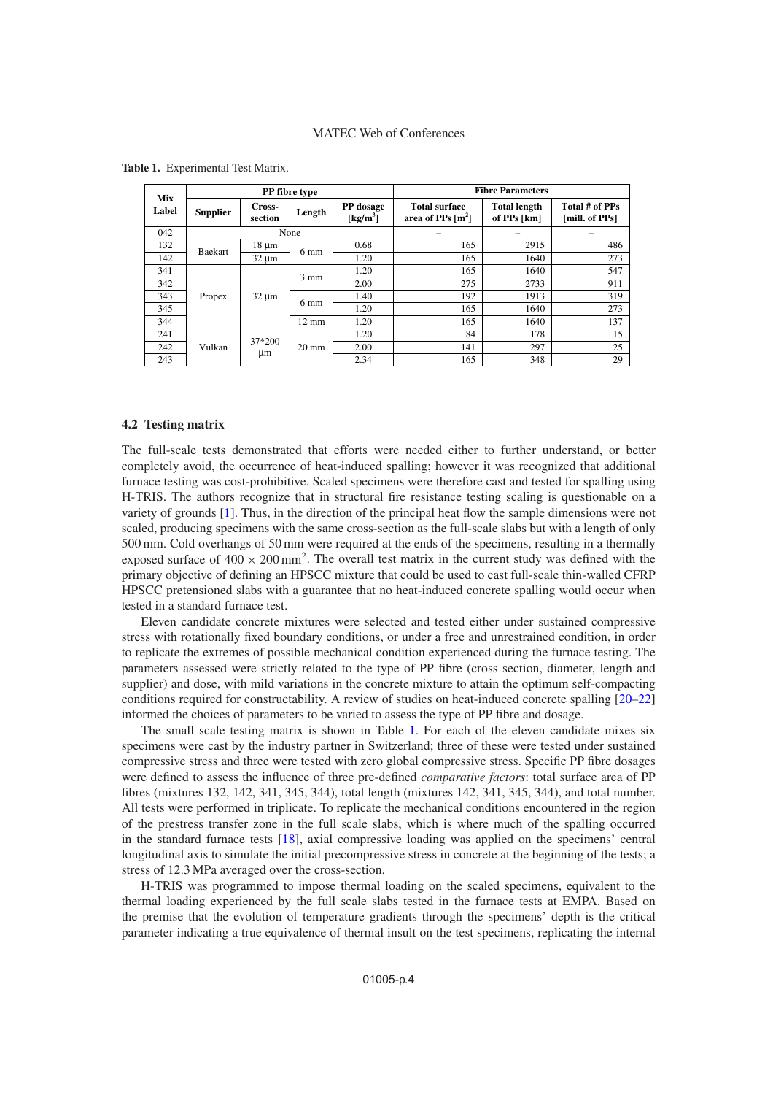| Mix<br>Label | PP fibre type   |                   |                 |                                            | <b>Fibre Parameters</b>                     |                                    |                                  |  |
|--------------|-----------------|-------------------|-----------------|--------------------------------------------|---------------------------------------------|------------------------------------|----------------------------------|--|
|              | <b>Supplier</b> | Cross-<br>section | Length          | PP dosage<br>$\lceil \text{kg/m}^3 \rceil$ | <b>Total surface</b><br>area of PPs $[m^2]$ | <b>Total length</b><br>of PPs [km] | Total # of PPs<br>[mill. of PPs] |  |
| 042          |                 |                   | None            |                                            |                                             |                                    |                                  |  |
| 132          | Baekart         | $18 \mu m$        | $6 \text{ mm}$  | 0.68                                       | 165                                         | 2915                               | 486                              |  |
| 142          |                 | $32 \mu m$        |                 | 1.20                                       | 165                                         | 1640                               | 273                              |  |
| 341          | Propex          | $32 \mu m$        | $3 \text{ mm}$  | 1.20                                       | 165                                         | 1640                               | 547                              |  |
| 342          |                 |                   |                 | 2.00                                       | 275                                         | 2733                               | 911                              |  |
| 343          |                 |                   | 6 mm            | 1.40                                       | 192                                         | 1913                               | 319                              |  |
| 345          |                 |                   |                 | 1.20                                       | 165                                         | 1640                               | 273                              |  |
| 344          |                 |                   | $12 \text{ mm}$ | 1.20                                       | 165                                         | 1640                               | 137                              |  |
| 241          | Vulkan          | 37*200<br>μm      | $20 \text{ mm}$ | 1.20                                       | 84                                          | 178                                | 15                               |  |
| 242          |                 |                   |                 | 2.00                                       | 141                                         | 297                                | 25                               |  |
| 243          |                 |                   |                 | 2.34                                       | 165                                         | 348                                | 29                               |  |

<span id="page-3-0"></span>**Table 1.** Experimental Test Matrix.

## **4.2 Testing matrix**

The full-scale tests demonstrated that efforts were needed either to further understand, or better completely avoid, the occurrence of heat-induced spalling; however it was recognized that additional furnace testing was cost-prohibitive. Scaled specimens were therefore cast and tested for spalling using H-TRIS. The authors recognize that in structural fire resistance testing scaling is questionable on a variety of grounds [\[1](#page-6-0)]. Thus, in the direction of the principal heat flow the sample dimensions were not scaled, producing specimens with the same cross-section as the full-scale slabs but with a length of only 500 mm. Cold overhangs of 50 mm were required at the ends of the specimens, resulting in a thermally exposed surface of  $400 \times 200$  mm<sup>2</sup>. The overall test matrix in the current study was defined with the primary objective of defining an HPSCC mixture that could be used to cast full-scale thin-walled CFRP HPSCC pretensioned slabs with a guarantee that no heat-induced concrete spalling would occur when tested in a standard furnace test.

Eleven candidate concrete mixtures were selected and tested either under sustained compressive stress with rotationally fixed boundary conditions, or under a free and unrestrained condition, in order to replicate the extremes of possible mechanical condition experienced during the furnace testing. The parameters assessed were strictly related to the type of PP fibre (cross section, diameter, length and supplier) and dose, with mild variations in the concrete mixture to attain the optimum self-compacting conditions required for constructability. A review of studies on heat-induced concrete spalling [\[20](#page-7-15)[–22](#page-7-16)] informed the choices of parameters to be varied to assess the type of PP fibre and dosage.

The small scale testing matrix is shown in Table [1.](#page-3-0) For each of the eleven candidate mixes six specimens were cast by the industry partner in Switzerland; three of these were tested under sustained compressive stress and three were tested with zero global compressive stress. Specific PP fibre dosages were defined to assess the influence of three pre-defined *comparative factors*: total surface area of PP fibres (mixtures 132, 142, 341, 345, 344), total length (mixtures 142, 341, 345, 344), and total number. All tests were performed in triplicate. To replicate the mechanical conditions encountered in the region of the prestress transfer zone in the full scale slabs, which is where much of the spalling occurred in the standard furnace tests [\[18](#page-7-13)], axial compressive loading was applied on the specimens' central longitudinal axis to simulate the initial precompressive stress in concrete at the beginning of the tests; a stress of 12.3 MPa averaged over the cross-section.

H-TRIS was programmed to impose thermal loading on the scaled specimens, equivalent to the thermal loading experienced by the full scale slabs tested in the furnace tests at EMPA. Based on the premise that the evolution of temperature gradients through the specimens' depth is the critical parameter indicating a true equivalence of thermal insult on the test specimens, replicating the internal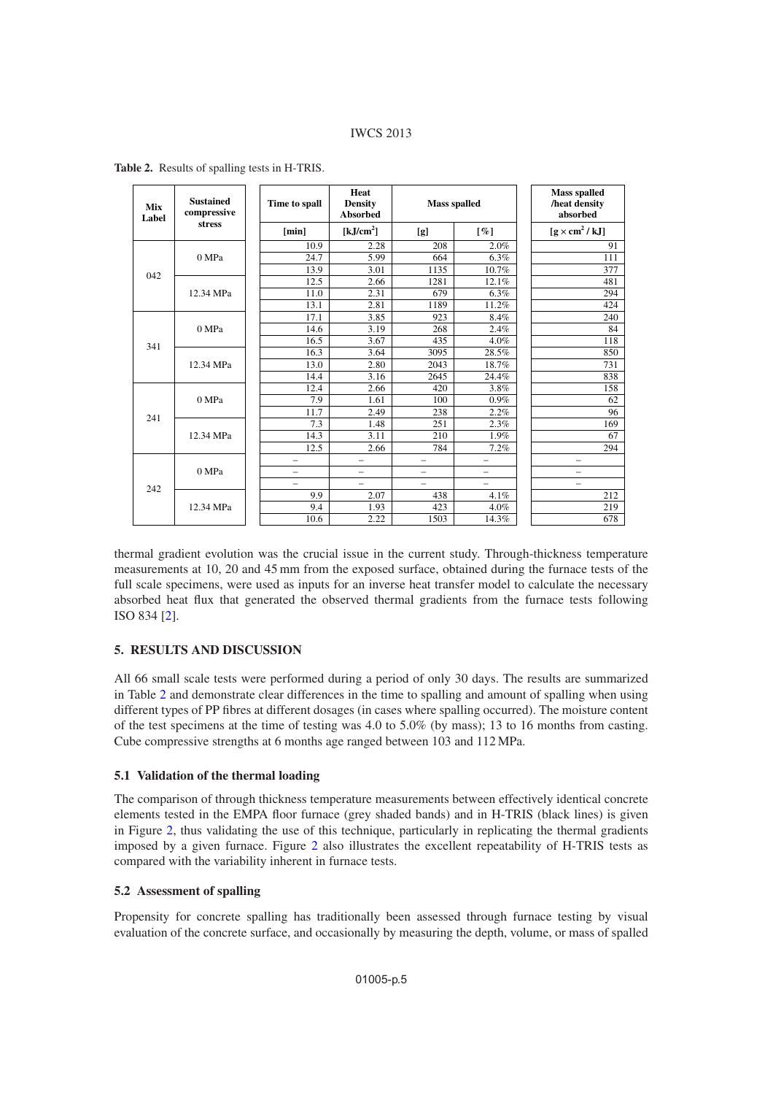# IWCS 2013

| <b>Mix</b><br>Label | <b>Sustained</b><br>compressive<br>stress | Time to spall            | Heat<br><b>Density</b><br><b>Absorbed</b> | <b>Mass spalled</b> |                      | <b>Mass spalled</b><br>/heat density<br>absorbed |  |
|---------------------|-------------------------------------------|--------------------------|-------------------------------------------|---------------------|----------------------|--------------------------------------------------|--|
|                     |                                           | [min]                    | [kJ/cm <sup>2</sup> ]                     | [g]                 | $\lbrack \% \rbrack$ | $[g \times cm^2 / kJ]$                           |  |
|                     | 0 MPa                                     | 10.9                     | 2.28                                      | 208                 | 2.0%                 | 91                                               |  |
|                     |                                           | 24.7                     | 5.99                                      | 664                 | 6.3%                 | 111                                              |  |
| 042                 |                                           | 13.9                     | 3.01                                      | 1135                | 10.7%                | 377                                              |  |
|                     | 12.34 MPa                                 | 12.5                     | 2.66                                      | 1281                | 12.1%                | 481                                              |  |
|                     |                                           | 11.0                     | 2.31                                      | 679                 | 6.3%                 | 294                                              |  |
|                     |                                           | 13.1                     | 2.81                                      | 1189                | 11.2%                | 424                                              |  |
|                     | 0 MPa                                     | 17.1                     | 3.85                                      | 923                 | 8.4%                 | 240                                              |  |
|                     |                                           | 14.6                     | 3.19                                      | 268                 | 2.4%                 | 84                                               |  |
| 341                 |                                           | 16.5                     | 3.67                                      | 435                 | 4.0%                 | 118                                              |  |
|                     | 12.34 MPa                                 | 16.3                     | 3.64                                      | 3095                | 28.5%                | 850                                              |  |
|                     |                                           | 13.0                     | 2.80                                      | 2043                | 18.7%                | 731                                              |  |
|                     |                                           | 14.4                     | 3.16                                      | 2645                | 24.4%                | 838                                              |  |
|                     | 0 MPa                                     | 12.4                     | 2.66                                      | 420                 | 3.8%                 | 158                                              |  |
|                     |                                           | 7.9                      | 1.61                                      | 100                 | 0.9%                 | 62                                               |  |
| 241                 |                                           | 11.7                     | 2.49                                      | 238                 | 2.2%                 | 96                                               |  |
|                     | 12.34 MPa                                 | 7.3                      | 1.48                                      | 251                 | 2.3%                 | 169                                              |  |
|                     |                                           | 14.3                     | 3.11                                      | 210                 | 1.9%                 | 67                                               |  |
|                     |                                           | 12.5                     | 2.66                                      | 784                 | 7.2%                 | 294                                              |  |
|                     | 0 MPa                                     | $\equiv$                 |                                           | $\equiv$            | -                    | $\equiv$                                         |  |
|                     |                                           | $\overline{\phantom{0}}$ | $\overline{\phantom{0}}$                  |                     | -                    | -                                                |  |
| 242                 |                                           | $\equiv$                 |                                           |                     | $=$                  | $\equiv$                                         |  |
|                     | 12.34 MPa                                 | 9.9                      | 2.07                                      | 438                 | 4.1%                 | 212                                              |  |
|                     |                                           | 9.4                      | 1.93                                      | 423                 | 4.0%                 | 219                                              |  |
|                     |                                           | 10.6                     | 2.22                                      | 1503                | 14.3%                | 678                                              |  |

<span id="page-4-0"></span>**Table 2.** Results of spalling tests in H-TRIS.

thermal gradient evolution was the crucial issue in the current study. Through-thickness temperature measurements at 10, 20 and 45 mm from the exposed surface, obtained during the furnace tests of the full scale specimens, were used as inputs for an inverse heat transfer model to calculate the necessary absorbed heat flux that generated the observed thermal gradients from the furnace tests following ISO 834 [\[2](#page-6-1)].

# **5. RESULTS AND DISCUSSION**

All 66 small scale tests were performed during a period of only 30 days. The results are summarized in Table [2](#page-4-0) and demonstrate clear differences in the time to spalling and amount of spalling when using different types of PP fibres at different dosages (in cases where spalling occurred). The moisture content of the test specimens at the time of testing was 4.0 to 5.0% (by mass); 13 to 16 months from casting. Cube compressive strengths at 6 months age ranged between 103 and 112 MPa.

# **5.1 Validation of the thermal loading**

The comparison of through thickness temperature measurements between effectively identical concrete elements tested in the EMPA floor furnace (grey shaded bands) and in H-TRIS (black lines) is given in Figure [2,](#page-5-0) thus validating the use of this technique, particularly in replicating the thermal gradients imposed by a given furnace. Figure [2](#page-5-0) also illustrates the excellent repeatability of H-TRIS tests as compared with the variability inherent in furnace tests.

# **5.2 Assessment of spalling**

Propensity for concrete spalling has traditionally been assessed through furnace testing by visual evaluation of the concrete surface, and occasionally by measuring the depth, volume, or mass of spalled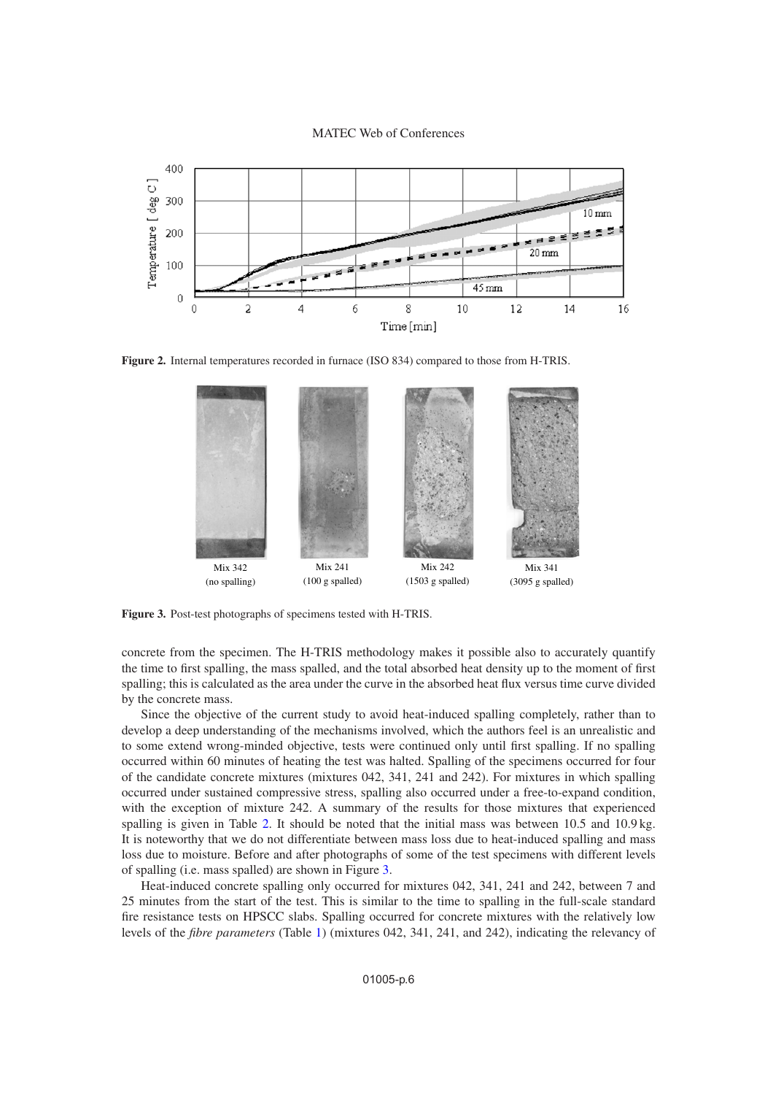MATEC Web of Conferences

<span id="page-5-0"></span>

<span id="page-5-1"></span>**Figure 2.** Internal temperatures recorded in furnace (ISO 834) compared to those from H-TRIS.



**Figure 3.** Post-test photographs of specimens tested with H-TRIS.

concrete from the specimen. The H-TRIS methodology makes it possible also to accurately quantify the time to first spalling, the mass spalled, and the total absorbed heat density up to the moment of first spalling; this is calculated as the area under the curve in the absorbed heat flux versus time curve divided by the concrete mass.

Since the objective of the current study to avoid heat-induced spalling completely, rather than to develop a deep understanding of the mechanisms involved, which the authors feel is an unrealistic and to some extend wrong-minded objective, tests were continued only until first spalling. If no spalling occurred within 60 minutes of heating the test was halted. Spalling of the specimens occurred for four of the candidate concrete mixtures (mixtures 042, 341, 241 and 242). For mixtures in which spalling occurred under sustained compressive stress, spalling also occurred under a free-to-expand condition, with the exception of mixture 242. A summary of the results for those mixtures that experienced spalling is given in Table [2.](#page-4-0) It should be noted that the initial mass was between 10.5 and 10.9 kg. It is noteworthy that we do not differentiate between mass loss due to heat-induced spalling and mass loss due to moisture. Before and after photographs of some of the test specimens with different levels of spalling (i.e. mass spalled) are shown in Figure [3.](#page-5-1)

Heat-induced concrete spalling only occurred for mixtures 042, 341, 241 and 242, between 7 and 25 minutes from the start of the test. This is similar to the time to spalling in the full-scale standard fire resistance tests on HPSCC slabs. Spalling occurred for concrete mixtures with the relatively low levels of the *fibre parameters* (Table [1\)](#page-3-0) (mixtures 042, 341, 241, and 242), indicating the relevancy of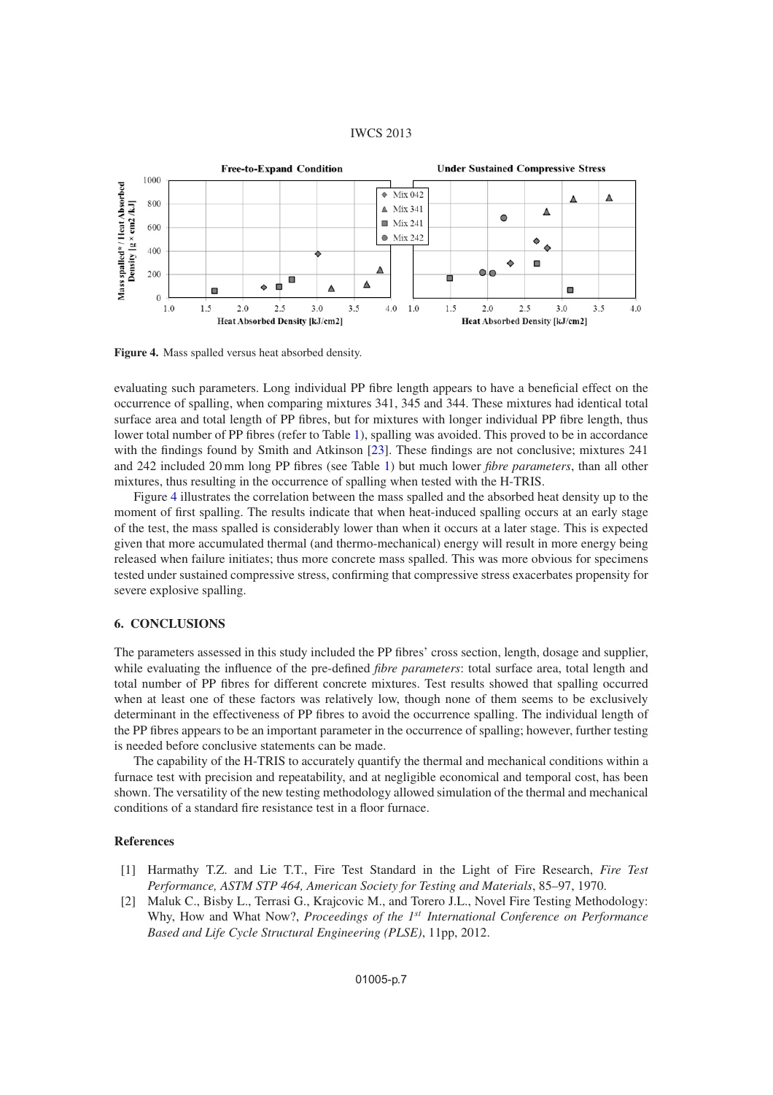#### IWCS 2013

<span id="page-6-2"></span>

**Figure 4.** Mass spalled versus heat absorbed density.

evaluating such parameters. Long individual PP fibre length appears to have a beneficial effect on the occurrence of spalling, when comparing mixtures 341, 345 and 344. These mixtures had identical total surface area and total length of PP fibres, but for mixtures with longer individual PP fibre length, thus lower total number of PP fibres (refer to Table [1\)](#page-3-0), spalling was avoided. This proved to be in accordance with the findings found by Smith and Atkinson [\[23\]](#page-7-17). These findings are not conclusive; mixtures 241 and 242 included 20 mm long PP fibres (see Table [1\)](#page-3-0) but much lower *fibre parameters*, than all other mixtures, thus resulting in the occurrence of spalling when tested with the H-TRIS.

Figure [4](#page-6-2) illustrates the correlation between the mass spalled and the absorbed heat density up to the moment of first spalling. The results indicate that when heat-induced spalling occurs at an early stage of the test, the mass spalled is considerably lower than when it occurs at a later stage. This is expected given that more accumulated thermal (and thermo-mechanical) energy will result in more energy being released when failure initiates; thus more concrete mass spalled. This was more obvious for specimens tested under sustained compressive stress, confirming that compressive stress exacerbates propensity for severe explosive spalling.

#### **6. CONCLUSIONS**

The parameters assessed in this study included the PP fibres' cross section, length, dosage and supplier, while evaluating the influence of the pre-defined *fibre parameters*: total surface area, total length and total number of PP fibres for different concrete mixtures. Test results showed that spalling occurred when at least one of these factors was relatively low, though none of them seems to be exclusively determinant in the effectiveness of PP fibres to avoid the occurrence spalling. The individual length of the PP fibres appears to be an important parameter in the occurrence of spalling; however, further testing is needed before conclusive statements can be made.

The capability of the H-TRIS to accurately quantify the thermal and mechanical conditions within a furnace test with precision and repeatability, and at negligible economical and temporal cost, has been shown. The versatility of the new testing methodology allowed simulation of the thermal and mechanical conditions of a standard fire resistance test in a floor furnace.

#### <span id="page-6-0"></span>**References**

- [1] Harmathy T.Z. and Lie T.T., Fire Test Standard in the Light of Fire Research, *Fire Test Performance, ASTM STP 464, American Society for Testing and Materials*, 85–97, 1970.
- <span id="page-6-1"></span>[2] Maluk C., Bisby L., Terrasi G., Krajcovic M., and Torero J.L., Novel Fire Testing Methodology: Why, How and What Now?, *Proceedings of the 1*st *International Conference on Performance Based and Life Cycle Structural Engineering (PLSE)*, 11pp, 2012.